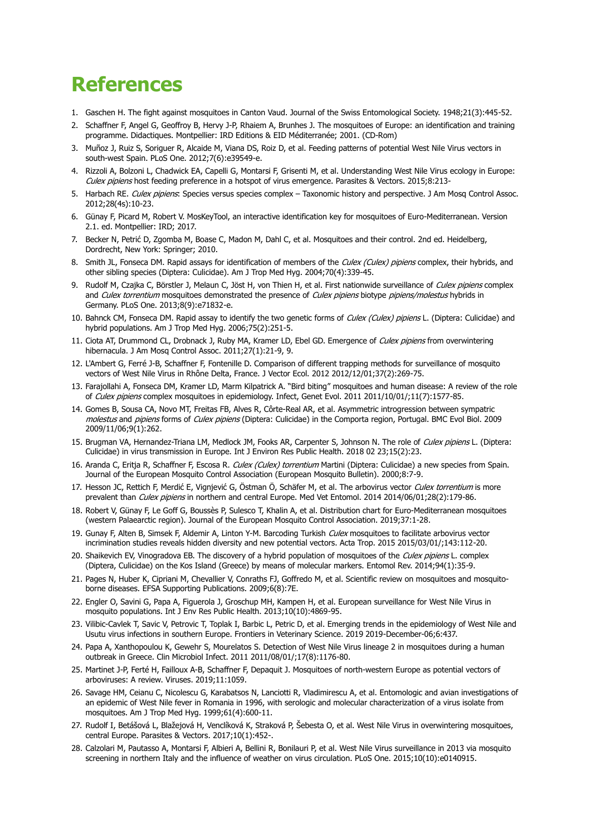## **References**

- 1. Gaschen H. The fight against mosquitoes in Canton Vaud. Journal of the Swiss Entomological Society. 1948;21(3):445-52.
- 2. Schaffner F, Angel G, Geoffroy B, Hervy J-P, Rhaiem A, Brunhes J. The mosquitoes of Europe: an identification and training programme. Didactiques. Montpellier: IRD Editions & EID Méditerranée; 2001. (CD-Rom)
- 3. Muñoz J, Ruiz S, Soriguer R, Alcaide M, Viana DS, Roiz D, et al. Feeding patterns of potential West Nile Virus vectors in south-west Spain. PLoS One. 2012;7(6):e39549-e.
- 4. Rizzoli A, Bolzoni L, Chadwick EA, Capelli G, Montarsi F, Grisenti M, et al. Understanding West Nile Virus ecology in Europe: Culex pipiens host feeding preference in a hotspot of virus emergence. Parasites & Vectors. 2015;8:213-
- 5. Harbach RE. Culex pipiens: Species versus species complex Taxonomic history and perspective. J Am Mosq Control Assoc. 2012;28(4s):10-23.
- 6. Günay F, Picard M, Robert V. MosKeyTool, an interactive identification key for mosquitoes of Euro-Mediterranean. Version 2.1. ed. Montpellier: IRD; 2017.
- 7. Becker N, Petrić D, Zgomba M, Boase C, Madon M, Dahl C, et al. Mosquitoes and their control. 2nd ed. Heidelberg, Dordrecht, New York: Springer; 2010.
- 8. Smith JL, Fonseca DM. Rapid assays for identification of members of the Culex (Culex) pipiens complex, their hybrids, and other sibling species (Diptera: Culicidae). Am J Trop Med Hyg. 2004;70(4):339-45.
- 9. Rudolf M, Czajka C, Börstler J, Melaun C, Jöst H, von Thien H, et al. First nationwide surveillance of Culex pipiens complex and Culex torrentium mosquitoes demonstrated the presence of Culex pipiens biotype pipiens/molestus hybrids in Germany. PLoS One. 2013;8(9):e71832-e.
- 10. Bahnck CM, Fonseca DM, Rapid assay to identify the two genetic forms of *Culex (Culex) pipiens* L. (Diptera: Culicidae) and hybrid populations. Am J Trop Med Hyg. 2006;75(2):251-5.
- 11. Ciota AT, Drummond CL, Drobnack J, Ruby MA, Kramer LD, Ebel GD. Emergence of Culex pipiens from overwintering hibernacula. J Am Mosq Control Assoc. 2011;27(1):21-9, 9.
- 12. L'Ambert G, Ferré J-B, Schaffner F, Fontenille D. Comparison of different trapping methods for surveillance of mosquito vectors of West Nile Virus in Rhône Delta, France. J Vector Ecol. 2012 2012/12/01;37(2):269-75.
- 13. Farajollahi A, Fonseca DM, Kramer LD, Marm Kilpatrick A. "Bird biting" mosquitoes and human disease: A review of the role of Culex pipiens complex mosquitoes in epidemiology. Infect, Genet Evol. 2011 2011/10/01/;11(7):1577-85.
- 14. Gomes B, Sousa CA, Novo MT, Freitas FB, Alves R, Côrte-Real AR, et al. Asymmetric introgression between sympatric molestus and pipiens forms of Culex pipiens (Diptera: Culicidae) in the Comporta region, Portugal. BMC Evol Biol. 2009 2009/11/06;9(1):262.
- 15. Brugman VA, Hernandez-Triana LM, Medlock JM, Fooks AR, Carpenter S, Johnson N. The role of Culex pipiens L. (Diptera: Culicidae) in virus transmission in Europe. Int J Environ Res Public Health. 2018 02 23;15(2):23.
- 16. Aranda C, Eritia R, Schaffner F, Escosa R. Culex (Culex) torrentium Martini (Diptera: Culicidae) a new species from Spain. Journal of the European Mosquito Control Association (European Mosquito Bulletin). 2000;8:7-9.
- 17. Hesson JC, Rettich F, Merdić E, Vignjević G, Östman Ö, Schäfer M, et al. The arbovirus vector Culex torrentium is more prevalent than Culex pipiens in northern and central Europe. Med Vet Entomol. 2014 2014/06/01;28(2):179-86.
- 18. Robert V, Günay F, Le Goff G, Boussès P, Sulesco T, Khalin A, et al. Distribution chart for Euro-Mediterranean mosquitoes (western Palaearctic region). Journal of the European Mosquito Control Association. 2019;37:1-28.
- 19. Gunay F, Alten B, Simsek F, Aldemir A, Linton Y-M. Barcoding Turkish Culex mosquitoes to facilitate arbovirus vector incrimination studies reveals hidden diversity and new potential vectors. Acta Trop. 2015 2015/03/01/;143:112-20.
- 20. Shaikevich EV, Vinogradova EB. The discovery of a hybrid population of mosquitoes of the Culex pipiens L. complex (Diptera, Culicidae) on the Kos Island (Greece) by means of molecular markers. Entomol Rev. 2014;94(1):35-9.
- 21. Pages N, Huber K, Cipriani M, Chevallier V, Conraths FJ, Goffredo M, et al. Scientific review on mosquitoes and mosquitoborne diseases. EFSA Supporting Publications. 2009;6(8):7E.
- 22. Engler O, Savini G, Papa A, Figuerola J, Groschup MH, Kampen H, et al. European surveillance for West Nile Virus in mosquito populations. Int J Env Res Public Health. 2013;10(10):4869-95.
- 23. Vilibic-Cavlek T, Savic V, Petrovic T, Toplak I, Barbic L, Petric D, et al. Emerging trends in the epidemiology of West Nile and Usutu virus infections in southern Europe. Frontiers in Veterinary Science. 2019 2019-December-06;6:437.
- 24. Papa A, Xanthopoulou K, Gewehr S, Mourelatos S. Detection of West Nile Virus lineage 2 in mosquitoes during a human outbreak in Greece. Clin Microbiol Infect. 2011 2011/08/01/;17(8):1176-80.
- 25. Martinet J-P, Ferté H, Failloux A-B, Schaffner F, Depaquit J. Mosquitoes of north-western Europe as potential vectors of arboviruses: A review. Viruses. 2019;11:1059.
- 26. Savage HM, Ceianu C, Nicolescu G, Karabatsos N, Lanciotti R, Vladimirescu A, et al. Entomologic and avian investigations of an epidemic of West Nile fever in Romania in 1996, with serologic and molecular characterization of a virus isolate from mosquitoes. Am J Trop Med Hyg. 1999;61(4):600-11.
- 27. Rudolf I, Betášová L, Blažejová H, Venclíková K, Straková P, Šebesta O, et al. West Nile Virus in overwintering mosquitoes, central Europe. Parasites & Vectors. 2017;10(1):452-.
- 28. Calzolari M, Pautasso A, Montarsi F, Albieri A, Bellini R, Bonilauri P, et al. West Nile Virus surveillance in 2013 via mosquito screening in northern Italy and the influence of weather on virus circulation. PLoS One. 2015;10(10):e0140915.